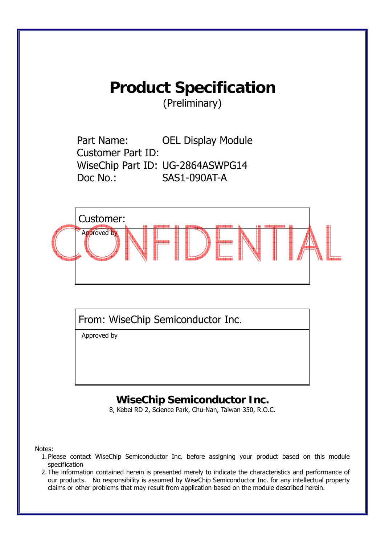# **Product Specification**

(Preliminary)

Part Name: OEL Display Module Customer Part ID: WiseChip Part ID: UG-2864ASWPG14 Doc No.: SAS1-090AT-A



From: WiseChip Semiconductor Inc.

Approved by

## **WiseChip Semiconductor Inc.**

8, Kebei RD 2, Science Park, Chu-Nan, Taiwan 350, R.O.C.

Notes:

- 1. Please contact WiseChip Semiconductor Inc. before assigning your product based on this module specification
- 2. The information contained herein is presented merely to indicate the characteristics and performance of our products. No responsibility is assumed by WiseChip Semiconductor Inc. for any intellectual property claims or other problems that may result from application based on the module described herein.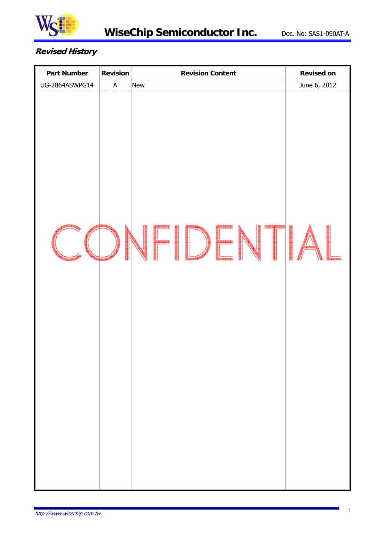

#### **Revised History**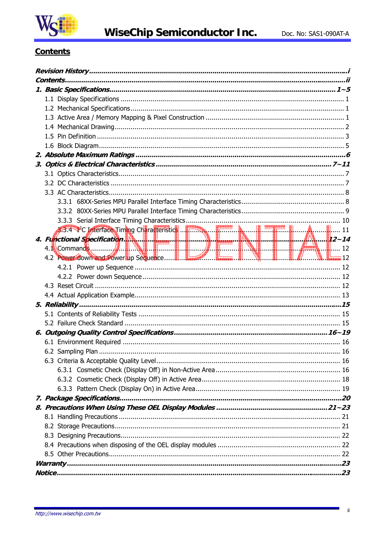

#### **Contents**

| 4. Functional Specification. 2. 2014 |  |
|--------------------------------------|--|
|                                      |  |
|                                      |  |
|                                      |  |
|                                      |  |
|                                      |  |
|                                      |  |
|                                      |  |
|                                      |  |
|                                      |  |
|                                      |  |
|                                      |  |
|                                      |  |
|                                      |  |
|                                      |  |
|                                      |  |
|                                      |  |
|                                      |  |
|                                      |  |
|                                      |  |
|                                      |  |
|                                      |  |
|                                      |  |
|                                      |  |
|                                      |  |
|                                      |  |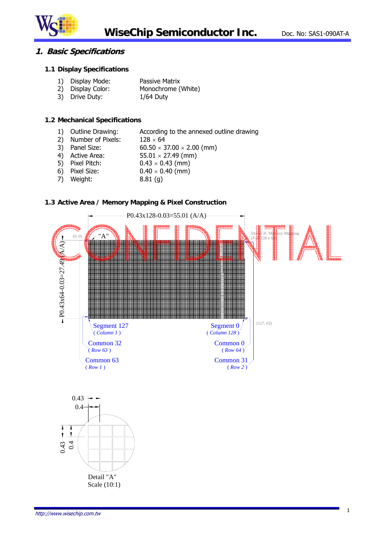

#### **1. Basic Specifications**

#### **1.1 Display Specifications**

|  | 1) Display Mode: | Passive Matrix |
|--|------------------|----------------|
|--|------------------|----------------|

- 2) Display Color: Monochrome (White)
- 3) Drive Duty: 1/64 Duty

#### **1.2 Mechanical Specifications**

- 1) Outline Drawing: According to the annexed outline drawing
- 2) Number of Pixels:  $128 \times 64$
- 3) Panel Size:  $60.50 \times 37.00 \times 2.00$  (mm)
- 4) Active Area:  $55.01 \times 27.49$  (mm)
- 5) Pixel Pitch:  $0.43 \times 0.43$  (mm)
- 6) Pixel Size:  $0.40 \times 0.40$  (mm)
- 7) Weight: 8.81 (g)

#### **1.3 Active Area / Memory Mapping & Pixel Construction**



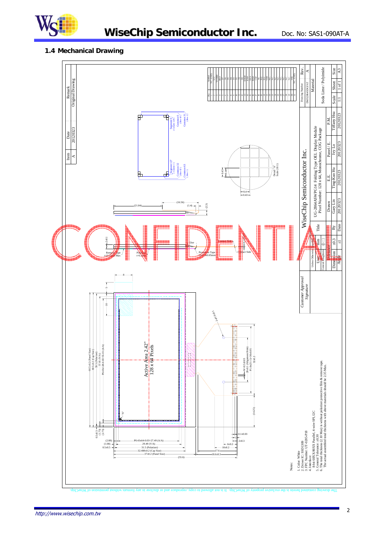

### **WiseChip Semiconductor Inc.** Doc. No: SAS1-090AT-A

#### **1.4 Mechanical Drawing**

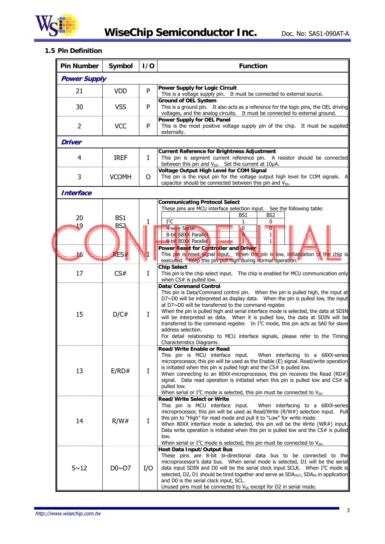

**WiseChip Semiconductor Inc.** Doc. No: SAS1-090AT-A

#### **1.5 Pin Definition**

| <b>Pin Number</b>   | Symbol                             | 1/0                                                                                                                                                                                                                                                                                                                                                                                                                                                                                                                                         | <b>Function</b>                                                                                                                                                                                                                                                                                                                                                                                                                                                                                                                                                                                                                                                     |
|---------------------|------------------------------------|---------------------------------------------------------------------------------------------------------------------------------------------------------------------------------------------------------------------------------------------------------------------------------------------------------------------------------------------------------------------------------------------------------------------------------------------------------------------------------------------------------------------------------------------|---------------------------------------------------------------------------------------------------------------------------------------------------------------------------------------------------------------------------------------------------------------------------------------------------------------------------------------------------------------------------------------------------------------------------------------------------------------------------------------------------------------------------------------------------------------------------------------------------------------------------------------------------------------------|
| <b>Power Supply</b> |                                    |                                                                                                                                                                                                                                                                                                                                                                                                                                                                                                                                             |                                                                                                                                                                                                                                                                                                                                                                                                                                                                                                                                                                                                                                                                     |
| 21                  | <b>VDD</b>                         | P                                                                                                                                                                                                                                                                                                                                                                                                                                                                                                                                           | <b>Power Supply for Logic Circuit</b><br>This is a voltage supply pin. It must be connected to external source.                                                                                                                                                                                                                                                                                                                                                                                                                                                                                                                                                     |
| 30                  | <b>VSS</b>                         | P                                                                                                                                                                                                                                                                                                                                                                                                                                                                                                                                           | <b>Ground of OEL System</b><br>This is a ground pin. It also acts as a reference for the logic pins, the OEL driving<br>voltages, and the analog circuits. It must be connected to external ground.                                                                                                                                                                                                                                                                                                                                                                                                                                                                 |
| $\overline{2}$      | <b>VCC</b>                         | P                                                                                                                                                                                                                                                                                                                                                                                                                                                                                                                                           | <b>Power Supply for OEL Panel</b><br>This is the most positive voltage supply pin of the chip. It must be supplied<br>externally.                                                                                                                                                                                                                                                                                                                                                                                                                                                                                                                                   |
| Driver              |                                    |                                                                                                                                                                                                                                                                                                                                                                                                                                                                                                                                             |                                                                                                                                                                                                                                                                                                                                                                                                                                                                                                                                                                                                                                                                     |
| 4                   | <b>IREF</b>                        | Ι                                                                                                                                                                                                                                                                                                                                                                                                                                                                                                                                           | <b>Current Reference for Brightness Adjustment</b><br>This pin is segment current reference pin. A resistor should be connected<br>between this pin and $V_{SS}$ . Set the current at 10 $\mu$ A.                                                                                                                                                                                                                                                                                                                                                                                                                                                                   |
| 3                   | <b>VCOMH</b>                       | 0                                                                                                                                                                                                                                                                                                                                                                                                                                                                                                                                           | Voltage Output High Level for COM Signal<br>This pin is the input pin for the voltage output high level for COM signals. $A$<br>capacitor should be connected between this pin and V <sub>SS</sub> .                                                                                                                                                                                                                                                                                                                                                                                                                                                                |
| <b>Interface</b>    |                                    |                                                                                                                                                                                                                                                                                                                                                                                                                                                                                                                                             |                                                                                                                                                                                                                                                                                                                                                                                                                                                                                                                                                                                                                                                                     |
| 20<br>19            | BS <sub>1</sub><br>BS <sub>2</sub> | Ι                                                                                                                                                                                                                                                                                                                                                                                                                                                                                                                                           | <b>Communicating Protocol Select</b><br>These pins are MCU interface selection input. See the following table:<br>BS <sub>1</sub><br>BS <sub>2</sub><br>$I^2C$<br>0<br>1<br>4-wire Serial<br>0<br>$\boldsymbol{0}$                                                                                                                                                                                                                                                                                                                                                                                                                                                  |
| 46                  | RES#                               |                                                                                                                                                                                                                                                                                                                                                                                                                                                                                                                                             | 8-bit 68XX Parallel<br>D.<br>1<br><b>8</b> -bit 80XX Parallel<br>$\mathbf{1}$<br>IN<br>Power Reset for Controller and Driver<br>This pin is reset signal input. When the pin is low, initialization of the chip is<br>executed. Keep this pin pull high during normal operation.                                                                                                                                                                                                                                                                                                                                                                                    |
| 17                  | CS#                                | $\bf{I}$                                                                                                                                                                                                                                                                                                                                                                                                                                                                                                                                    | <b>Chip Select</b><br>This pin is the chip select input. The chip is enabled for MCU communication only<br>when CS# is pulled low.                                                                                                                                                                                                                                                                                                                                                                                                                                                                                                                                  |
| 15                  | D/C#                               | I                                                                                                                                                                                                                                                                                                                                                                                                                                                                                                                                           | <b>Data/Command Control</b><br>This pin is Data/Command control pin. When the pin is pulled high, the input at<br>$D7~\sim$ D0 will be interpreted as display data. When the pin is pulled low, the input<br>at D7~D0 will be transferred to the command register.<br>When the pin is pulled high and serial interface mode is selected, the data at SDIN<br>will be interpreted as data. When it is pulled low, the data at SDIN will be<br>transferred to the command register. In $I^2C$ mode, this pin acts as SA0 for slave<br>address selection.<br>For detail relationship to MCU interface signals, please refer to the Timing<br>Characteristics Diagrams. |
| 13                  | E/RD#                              | I                                                                                                                                                                                                                                                                                                                                                                                                                                                                                                                                           | Read/Write Enable or Read<br>This pin is MCU interface input.<br>When interfacing to a 68XX-series<br>microprocessor, this pin will be used as the Enable (E) signal. Read/write operation<br>is initiated when this pin is pulled high and the CS# is pulled low.<br>When connecting to an 80XX-microprocessor, this pin receives the Read (RD#)<br>signal. Data read operation is initiated when this pin is pulled low and CS# is<br>pulled low.<br>When serial or $I^2C$ mode is selected, this pin must be connected to $V_{SS}$ .                                                                                                                             |
| 14                  | R/W#                               | <b>Read/Write Select or Write</b><br>This pin is MCU interface input.<br>When interfacing to a 68XX-series<br>microprocessor, this pin will be used as Read/Write (R/W#) selection input. Pull<br>this pin to "High" for read mode and pull it to "Low" for write mode.<br>When 80XX interface mode is selected, this pin will be the Write (WR#) input.<br>Data write operation is initiated when this pin is pulled low and the CS# is pulled<br>low.<br>When serial or $I^2C$ mode is selected, this pin must be connected to $V_{SS}$ . |                                                                                                                                                                                                                                                                                                                                                                                                                                                                                                                                                                                                                                                                     |
| $5 - 12$            | $D0 \sim D7$                       | I/O                                                                                                                                                                                                                                                                                                                                                                                                                                                                                                                                         | <b>Host Data Input/Output Bus</b><br>These pins are 8-bit bi-directional data bus to be connected to the<br>microprocessor's data bus. When serial mode is selected, D1 will be the serial<br>data input SDIN and D0 will be the serial clock input SCLK. When I <sup>2</sup> C mode is<br>selected, D2, D1 should be tired together and serve as $SDAOUT$ , $SDAIN$ in application<br>and D0 is the serial clock input, SCL.<br>Unused pins must be connected to V <sub>SS</sub> except for D2 in serial mode.                                                                                                                                                     |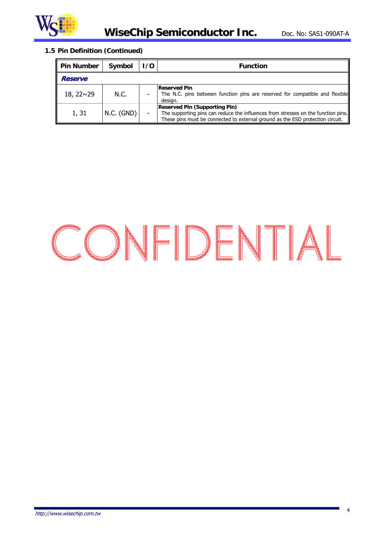

#### **1.5 Pin Definition (Continued)**

| <b>Pin Number</b> | Symbol       | 170                      | <b>Function</b>                                                                                                                                                                                             |
|-------------------|--------------|--------------------------|-------------------------------------------------------------------------------------------------------------------------------------------------------------------------------------------------------------|
| <b>Reserve</b>    |              |                          |                                                                                                                                                                                                             |
| $18, 22 \sim 29$  | N.C.         | $\overline{\phantom{0}}$ | <b>Reserved Pin</b><br>The N.C. pins between function pins are reserved for compatible and flexible<br>design.                                                                                              |
| 1, 31             | $N.C.$ (GND) |                          | <b>Reserved Pin (Supporting Pin)</b><br>The supporting pins can reduce the influences from stresses on the function pins.<br>These pins must be connected to external ground as the ESD protection circuit. |

# CONFIDENTIAL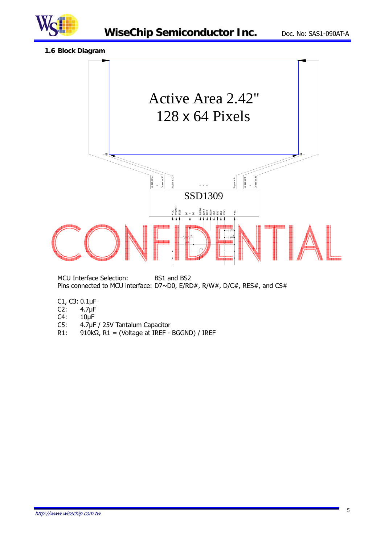

**1.6 Block Diagram** 



MCU Interface Selection: BS1 and BS2 Pins connected to MCU interface: D7~D0, E/RD#, R/W#, D/C#, RES#, and CS#

- C1, C3: 0.1μF
- $4.7 \mu F$
- C4: 10μF
- C5: 4.7μF / 25V Tantalum Capacitor
- R1: 910k $\Omega$ , R1 = (Voltage at IREF BGGND) / IREF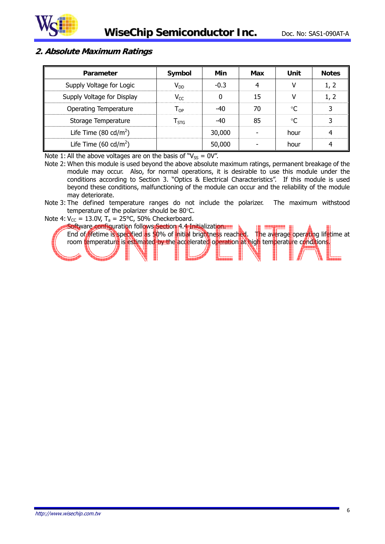

#### **2. Absolute Maximum Ratings**

| Parameter                         | Symbol                      | Min    | Max | Unit      | <b>Notes</b> |
|-----------------------------------|-----------------------------|--------|-----|-----------|--------------|
| Supply Voltage for Logic          | $V_{DD}$                    | $-0.3$ |     |           | 1, 2         |
| Supply Voltage for Display        | $V_{CC}$                    |        | 15  |           | 1, 2         |
| <b>Operating Temperature</b>      | l op.                       | -40    | 70  | $\circ$ C | 3            |
| Storage Temperature               | $\mathsf{T}_{\mathsf{STG}}$ | -40    | 85  | ∘∩        | 3            |
| Life Time (80 cd/m <sup>2</sup> ) |                             | 30,000 |     | hour      |              |
| Life Time $(60 \text{ cd/m}^2)$   |                             | 50,000 |     | hour      |              |

Note 1: All the above voltages are on the basis of " $V_{SS} = 0V$ ".

- Note 2: When this module is used beyond the above absolute maximum ratings, permanent breakage of the module may occur. Also, for normal operations, it is desirable to use this module under the conditions according to Section 3. "Optics & Electrical Characteristics". If this module is used beyond these conditions, malfunctioning of the module can occur and the reliability of the module may deteriorate.
- Note 3: The defined temperature ranges do not include the polarizer. The maximum withstood temperature of the polarizer should be 80°C.
- Note 4:  $V_{CC}$  = 13.0V, T<sub>a</sub> = 25°C, 50% Checkerboard.

Software configuration follows Section 4.4 Initialization. End of lifetime is specified as 50% of initial brightness reached. The average operating lifetime at room temperature is estimated by the accelerated operation at high temperature conditions.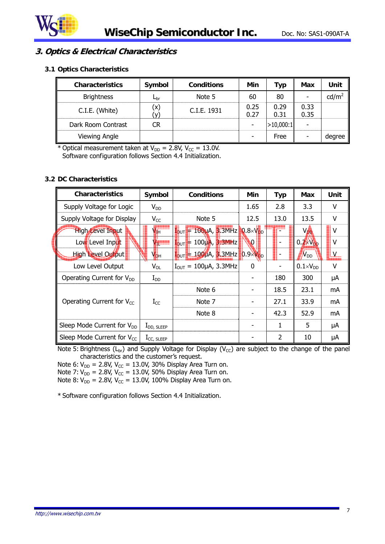

#### **3. Optics & Electrical Characteristics**

#### **3.1 Optics Characteristics**

| <b>Characteristics</b> | Symbol       | <b>Conditions</b> | Min          | Тур          | Max          | Unit            |
|------------------------|--------------|-------------------|--------------|--------------|--------------|-----------------|
| <b>Brightness</b>      | $L_{\rm br}$ | Note 5            | 60           | 80           |              | $\text{cd/m}^2$ |
| C.I.E. (White)         | 'x)          | C.I.E. 1931       | 0.25<br>0.27 | 0.29<br>0.31 | 0.33<br>0.35 |                 |
| Dark Room Contrast     | CR           |                   |              | >10,000:1    |              |                 |
| Viewing Angle          |              |                   |              | Free         |              | degree          |

\* Optical measurement taken at  $V_{DD} = 2.8V$ ,  $V_{CC} = 13.0V$ . Software configuration follows Section 4.4 Initialization.

#### **3.2 DC Characteristics**

| <b>Characteristics</b>                 | Symbol          | <b>Conditions</b>                                          | Min  | <b>Typ</b> | <b>Max</b>           | Unit |
|----------------------------------------|-----------------|------------------------------------------------------------|------|------------|----------------------|------|
| Supply Voltage for Logic               | $V_{DD}$        |                                                            | 1.65 | 2.8        | 3.3                  | v    |
| Supply Voltage for Display             | $V_{CC}$        | Note 5                                                     | 12.5 | 13.0       | 13.5                 | v    |
| <b>High Level Input</b>                | $J_{\rm{H}}$    | $I_{\text{OUT}}$ = 100µA, 3.3MHz 0.8×V <sub>DD</sub>       |      |            | V <sub>op</sub>      | v    |
| Low Level Input                        | $V_{\rm IL}$    | $100\mu$ A, $3.3$ MHz<br>$I_{\text{OUT}}$                  | N)   |            | $0.2 \times V_{DD}$  | v    |
| <b>High Level Output</b>               | Ѵфн             | $I_{\text{OUT}}$ + 1000A, 3.3MHz $0.9\times V_{\text{DD}}$ |      |            | /<br>N <sub>dd</sub> |      |
| Low Level Output                       | $V_{OL}$        | $I_{\text{OUT}} = 100 \mu A$ , 3.3MHz                      | 0    |            | $0.1 \times V_{DD}$  | v    |
| Operating Current for V <sub>DD</sub>  | $I_{DD}$        |                                                            |      | 180        | 300                  | μA   |
|                                        |                 | Note 6                                                     |      | 18.5       | 23.1                 | mA   |
| Operating Current for $V_{CC}$         | $I_{CC}$        | Note 7                                                     |      | 27.1       | 33.9                 | mA   |
|                                        |                 | Note 8                                                     |      | 42.3       | 52.9                 | mA   |
| Sleep Mode Current for V <sub>DD</sub> | $I_{DD, SLEEP}$ |                                                            |      | 1          | 5                    | μA   |
| Sleep Mode Current for $V_{cc}$        | $I_{CC, SLEEP}$ |                                                            |      | 2          | 10                   | μA   |

Note 5: Brightness ( $L_{br}$ ) and Supply Voltage for Display ( $V_{CC}$ ) are subject to the change of the panel characteristics and the customer's request.

Note 6:  $V_{DD} = 2.8V$ ,  $V_{CC} = 13.0V$ , 30% Display Area Turn on.

Note 7:  $V_{DD} = 2.8V$ ,  $V_{CC} = 13.0V$ , 50% Display Area Turn on.

Note 8:  $V_{DD} = 2.8V$ ,  $V_{CC} = 13.0V$ , 100% Display Area Turn on.

\* Software configuration follows Section 4.4 Initialization.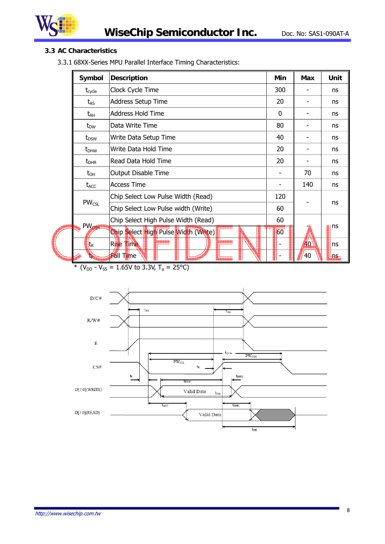

#### **3.3 AC Characteristics**

3.3.1 68XX-Series MPU Parallel Interface Timing Characteristics:

| Symbol             | <b>Description</b>                   | Min      | Max  | Unit           |
|--------------------|--------------------------------------|----------|------|----------------|
| $t_{\text{cycle}}$ | Clock Cycle Time                     | 300      |      | ns             |
| $t_{AS}$           | <b>Address Setup Time</b>            | 20       |      | ns             |
| $t_{AH}$           | <b>Address Hold Time</b>             | $\Omega$ |      | ns             |
| $t_{DW}$           | Data Write Time                      | 80       |      | ns             |
| $t_{DSW}$          | Write Data Setup Time                | 40       |      | ns             |
| $t_{DHW}$          | Write Data Hold Time                 | 20       |      | ns             |
| $t_{\text{DHR}}$   | lRead Data Hold Time                 | 20       |      | ns             |
| $t_{OH}$           | Output Disable Time                  |          | 70   | ns             |
| $t_{ACC}$          | <b>Access Time</b>                   |          | 140  | ns             |
|                    | Chip Select Low Pulse Width (Read)   | 120      |      |                |
| $PW_{CSL}$         | Chip Select Low Pulse width (Write)  | 60       |      | ns             |
|                    | Chip Select High Pulse Width (Read)  | 60       |      |                |
| PW <sub>CSH</sub>  | Chip Select High Pulse Width (Write) | 60       |      | ns             |
| t <sub>R</sub>     | Rise Time                            |          | 40 \ | ns             |
|                    | <b>Fall Time</b>                     |          | 40   | $H_{\rm{eff}}$ |

\* ( $V_{DD}$  -  $V_{SS}$  = 1.65V to 3.3V, T<sub>a</sub> = 25°C)

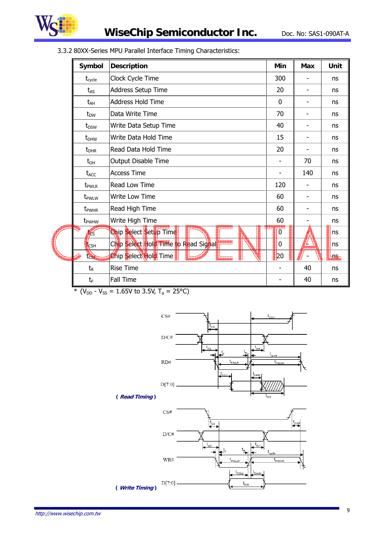

| Symbol             | <b>Description</b>                   | Min            | <b>Max</b> | Unit      |
|--------------------|--------------------------------------|----------------|------------|-----------|
| $t_{\text{cycle}}$ | Clock Cycle Time                     | 300            |            | ns        |
| $t_{AS}$           | Address Setup Time                   | 20             |            | <b>ns</b> |
| $t_{AH}$           | <b>Address Hold Time</b>             | 0              |            | <b>ns</b> |
| $t_{DW}$           | Data Write Time                      | 70             |            | ns        |
| $t_{DSW}$          | Write Data Setup Time                | 40             |            | <b>ns</b> |
| $t_{DHW}$          | Write Data Hold Time                 | 15             |            | <b>ns</b> |
| $t_{DHR}$          | Read Data Hold Time                  | 20             |            | ns        |
| $t_{OH}$           | Output Disable Time                  |                | 70         | <b>ns</b> |
| $t_{ACC}$          | <b>Access Time</b>                   |                | 140        | ns        |
| t <sub>pwlr</sub>  | Read Low Time                        | 120            |            | ns        |
| t <sub>pwLw</sub>  | <b>Write Low Time</b>                | 60             |            | <b>ns</b> |
| t <sub>pwHR</sub>  | Read High Time                       | 60             |            | <b>ns</b> |
| t <sub>pwHw</sub>  | Write High Time                      | 60             |            | <b>ns</b> |
| tes                | Chip Select Setup Time               | $\overline{0}$ |            | ns        |
| <b>I</b> CSH       | Chip Select Hold Time to Read Signal | 0              | L          | <b>ns</b> |
| tche               | Chip Select Hold Time                | 20             |            | $H =$     |
| $t_{R}$            | <b>Rise Time</b>                     |                | 40         | <b>ns</b> |
| $t_F$              | <b>Fall Time</b>                     |                | 40         | <b>ns</b> |

3.3.2 80XX-Series MPU Parallel Interface Timing Characteristics:





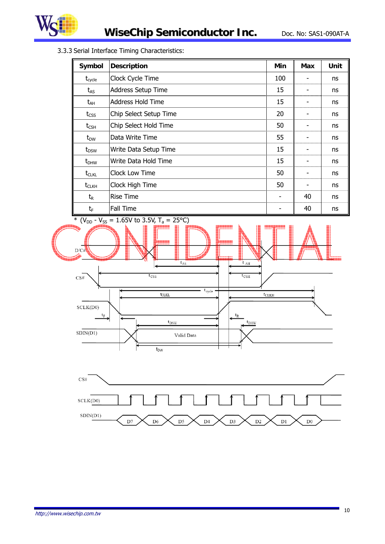

3.3.3 Serial Interface Timing Characteristics:

| Symbol             | <b>Description</b>        | Min | Max | Unit |
|--------------------|---------------------------|-----|-----|------|
| $t_{\text{cycle}}$ | Clock Cycle Time          | 100 |     | ns   |
| $t_{AS}$           | <b>Address Setup Time</b> | 15  | -   | ns   |
| $t_{AH}$           | <b>Address Hold Time</b>  | 15  |     | ns   |
| $t_{\text{CSS}}$   | Chip Select Setup Time    | 20  |     | ns   |
| $t_{\text{CSH}}$   | Chip Select Hold Time     | 50  |     | ns   |
| $t_{DW}$           | Data Write Time           | 55  |     | ns   |
| $t_{DSW}$          | Write Data Setup Time     | 15  |     | ns   |
| $t_{DHW}$          | Write Data Hold Time      | 15  |     | ns   |
| $t_{CLKL}$         | Clock Low Time            | 50  |     | ns   |
| $t_{CLKH}$         | Clock High Time           | 50  |     | ns   |
| $t_{R}$            | <b>Rise Time</b>          |     | 40  | ns   |
| $t_F$              | Fall Time                 |     | 40  | ns   |



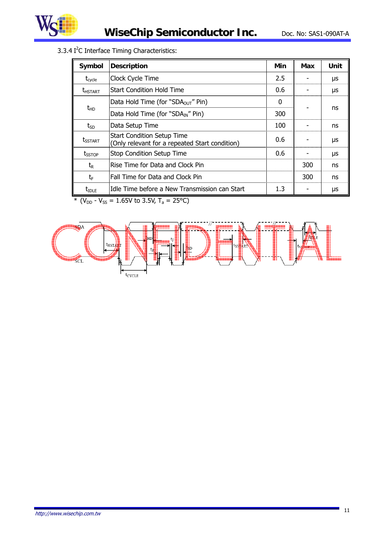

3.3.4  $I<sup>2</sup>C$  Interface Timing Characteristics:

| Symbol                           | <b>Description</b>                                                                  | Min | Max | Unit |
|----------------------------------|-------------------------------------------------------------------------------------|-----|-----|------|
| $t_{\text{cycle}}$               | Clock Cycle Time                                                                    | 2.5 |     | μs   |
| <b><i>LHSTART</i></b>            | Start Condition Hold Time                                                           | 0.6 |     | μs   |
|                                  | Data Hold Time (for "SDA <sub>OUT</sub> " Pin)                                      | 0   |     |      |
| $t_{HD}$                         | Data Hold Time (for "SDA <sub>IN</sub> " Pin)                                       | 300 |     | ns   |
| $t_{SD}$                         | Data Setup Time                                                                     | 100 |     | ns   |
| <b><i>L<sub>SSTART</sub></i></b> | <b>Start Condition Setup Time</b><br>(Only relevant for a repeated Start condition) | 0.6 |     | μs   |
| $t_{SSTOP}$                      | <b>Stop Condition Setup Time</b>                                                    | 0.6 |     | μs   |
| $t_{\mathsf{R}}$                 | Rise Time for Data and Clock Pin                                                    |     | 300 | ns   |
| tF                               | Fall Time for Data and Clock Pin                                                    |     | 300 | ns   |
| $t_{\rm IDLE}$                   | Idle Time before a New Transmission can Start                                       | 1.3 |     | μs   |

\* ( $V_{DD}$  -  $V_{SS}$  = 1.65V to 3.5V, T<sub>a</sub> = 25°C)